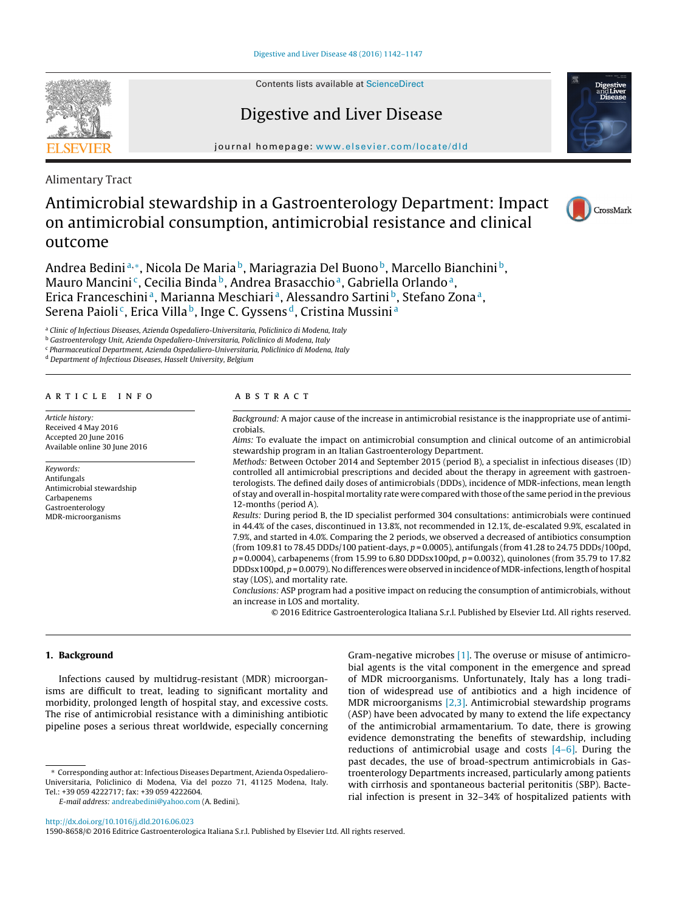**SEVIEI** 

Contents lists available at [ScienceDirect](http://www.sciencedirect.com/science/journal/15908658)

# Digestive and Liver Disease



journal homepage: [www.elsevier.com/locate/dld](http://www.elsevier.com/locate/dld)

Alimentary Tract

# Antimicrobial stewardship in a Gastroenterology Department: Impact on antimicrobial consumption, antimicrobial resistance and clinical outcome



Andrea Bedini<sup>a,∗</sup>, Nicola De Maria<sup>b</sup>, Mariagrazia Del Buono<sup>b</sup>, Marcello Bianchini<sup>b</sup>, Mauro Mancini<sup>c</sup>, Cecilia Binda<sup>b</sup>, Andrea Brasacchio<sup>a</sup>, Gabriella Orlando<sup>a</sup>, Erica Franceschini<sup>a</sup>, Marianna Meschiari<sup>a</sup>, Alessandro Sartini<sup>b</sup>, Stefano Zona<sup>a</sup>, Serena Paioli<sup>c</sup>, Erica Villa<sup>b</sup>, Inge C. Gyssens<sup>d</sup>, Cristina Mussini<sup>a</sup>

<sup>a</sup> Clinic of Infectious Diseases, Azienda Ospedaliero-Universitaria, Policlinico di Modena, Italy

<sup>b</sup> Gastroenterology Unit, Azienda Ospedaliero-Universitaria, Policlinico di Modena, Italy

<sup>c</sup> Pharmaceutical Department, Azienda Ospedaliero-Universitaria, Policlinico di Modena, Italy

<sup>d</sup> Department of Infectious Diseases, Hasselt University, Belgium

# a r t i c l e i n f o

Article history: Received 4 May 2016 Accepted 20 June 2016 Available online 30 June 2016

Keywords: Antifungals Antimicrobial stewardship Carbapenems Gastroenterology MDR-microorganisms

# A B S T R A C T

Background: A major cause of the increase in antimicrobial resistance is the inappropriate use of antimicrobials.

Aims: To evaluate the impact on antimicrobial consumption and clinical outcome of an antimicrobial stewardship program in an Italian Gastroenterology Department.

Methods: Between October 2014 and September 2015 (period B), a specialist in infectious diseases (ID) controlled all antimicrobial prescriptions and decided about the therapy in agreement with gastroenterologists. The defined daily doses of antimicrobials (DDDs), incidence of MDR-infections, mean length of stay and overall in-hospital mortality rate were compared with those ofthe same period in the previous 12-months (period A).

Results: During period B, the ID specialist performed 304 consultations: antimicrobials were continued in 44.4% of the cases, discontinued in 13.8%, not recommended in 12.1%, de-escalated 9.9%, escalated in 7.9%, and started in 4.0%. Comparing the 2 periods, we observed a decreased of antibiotics consumption (from 109.81 to 78.45 DDDs/100 patient-days, p = 0.0005), antifungals (from 41.28 to 24.75 DDDs/100pd,  $p = 0.0004$ ), carbapenems (from 15.99 to 6.80 DDDsx100pd,  $p = 0.0032$ ), quinolones (from 35.79 to 17.82 DDDsx100pd,  $p = 0.0079$ ). No differences were observed in incidence of MDR-infections, length of hospital stay (LOS), and mortality rate.

Conclusions: ASP program had a positive impact on reducing the consumption of antimicrobials, without an increase in LOS and mortality.

© 2016 Editrice Gastroenterologica Italiana S.r.l. Published by Elsevier Ltd. All rights reserved.

## **1. Background**

Infections caused by multidrug-resistant (MDR) microorganisms are difficult to treat, leading to significant mortality and morbidity, prolonged length of hospital stay, and excessive costs. The rise of antimicrobial resistance with a diminishing antibiotic pipeline poses a serious threat worldwide, especially concerning

Gram-negative microbes [\[1\].](#page-4-0) The overuse or misuse of antimicrobial agents is the vital component in the emergence and spread of MDR microorganisms. Unfortunately, Italy has a long tradition of widespread use of antibiotics and a high incidence of MDR microorganisms [\[2,3\].](#page-4-0) Antimicrobial stewardship programs (ASP) have been advocated by many to extend the life expectancy of the antimicrobial armamentarium. To date, there is growing evidence demonstrating the benefits of stewardship, including reductions of antimicrobial usage and costs  $[4-6]$ . During the past decades, the use of broad-spectrum antimicrobials in Gastroenterology Departments increased, particularly among patients with cirrhosis and spontaneous bacterial peritonitis (SBP). Bacterial infection is present in 32–34% of hospitalized patients with

<sup>∗</sup> Corresponding author at: Infectious Diseases Department, Azienda Ospedaliero-Universitaria, Policlinico di Modena, Via del pozzo 71, 41125 Modena, Italy. Tel.: +39 059 4222717; fax: +39 059 4222604.

E-mail address: [andreabedini@yahoo.com](mailto:andreabedini@yahoo.com) (A. Bedini).

[http://dx.doi.org/10.1016/j.dld.2016.06.023](dx.doi.org/10.1016/j.dld.2016.06.023)

<sup>1590-8658/©</sup> 2016 Editrice Gastroenterologica Italiana S.r.l. Published by Elsevier Ltd. All rights reserved.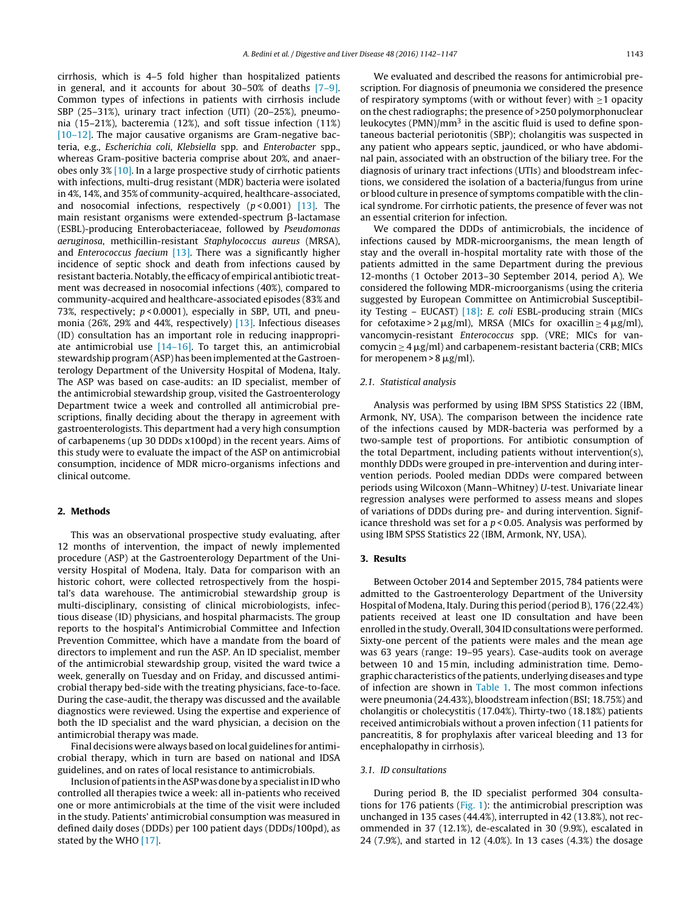cirrhosis, which is 4–5 fold higher than hospitalized patients in general, and it accounts for about 30–50% of deaths [\[7–9\].](#page-4-0) Common types of infections in patients with cirrhosis include SBP (25–31%), urinary tract infection (UTI) (20–25%), pneumonia (15–21%), bacteremia (12%), and soft tissue infection (11%) [\[10–12\].](#page-4-0) The major causative organisms are Gram-negative bacteria, e.g., Escherichia coli, Klebsiella spp. and Enterobacter spp., whereas Gram-positive bacteria comprise about 20%, and anaerobes only 3% [\[10\].](#page-4-0) In a large prospective study of cirrhotic patients with infections, multi-drug resistant (MDR) bacteria were isolated in 4%, 14%, and 35% of community-acquired, healthcare-associated, and nosocomial infections, respectively  $(p < 0.001)$  [\[13\].](#page-5-0) The main resistant organisms were extended-spectrum  $\beta$ -lactamase (ESBL)-producing Enterobacteriaceae, followed by Pseudomonas aeruginosa, methicillin-resistant Staphylococcus aureus (MRSA), and *Enterococcus faecium* [\[13\].](#page-5-0) There was a significantly higher incidence of septic shock and death from infections caused by resistant bacteria. Notably, the efficacy of empirical antibiotic treatment was decreased in nosocomial infections (40%), compared to community-acquired and healthcare-associated episodes (83% and 73%, respectively;  $p < 0.0001$ ), especially in SBP, UTI, and pneumonia (26%, 29% and 44%, respectively) [\[13\].](#page-5-0) Infectious diseases (ID) consultation has an important role in reducing inappropriate antimicrobial use [\[14–16\].](#page-5-0) To target this, an antimicrobial stewardship program (ASP) has been implemented at the Gastroenterology Department of the University Hospital of Modena, Italy. The ASP was based on case-audits: an ID specialist, member of the antimicrobial stewardship group, visited the Gastroenterology Department twice a week and controlled all antimicrobial prescriptions, finally deciding about the therapy in agreement with gastroenterologists. This department had a very high consumption of carbapenems (up 30 DDDs x100pd) in the recent years. Aims of this study were to evaluate the impact of the ASP on antimicrobial consumption, incidence of MDR micro-organisms infections and clinical outcome.

### **2. Methods**

This was an observational prospective study evaluating, after 12 months of intervention, the impact of newly implemented procedure (ASP) at the Gastroenterology Department of the University Hospital of Modena, Italy. Data for comparison with an historic cohort, were collected retrospectively from the hospital's data warehouse. The antimicrobial stewardship group is multi-disciplinary, consisting of clinical microbiologists, infectious disease (ID) physicians, and hospital pharmacists. The group reports to the hospital's Antimicrobial Committee and Infection Prevention Committee, which have a mandate from the board of directors to implement and run the ASP. An ID specialist, member of the antimicrobial stewardship group, visited the ward twice a week, generally on Tuesday and on Friday, and discussed antimicrobial therapy bed-side with the treating physicians, face-to-face. During the case-audit, the therapy was discussed and the available diagnostics were reviewed. Using the expertise and experience of both the ID specialist and the ward physician, a decision on the antimicrobial therapy was made.

Final decisions were always based on local guidelines for antimicrobial therapy, which in turn are based on national and IDSA guidelines, and on rates of local resistance to antimicrobials.

Inclusionofpatients intheASP wasdoneby a specialistinID who controlled all therapies twice a week: all in-patients who received one or more antimicrobials at the time of the visit were included in the study. Patients' antimicrobial consumption was measured in defined daily doses (DDDs) per 100 patient days (DDDs/100pd), as stated by the WHO [\[17\].](#page-5-0)

We evaluated and described the reasons for antimicrobial prescription. For diagnosis of pneumonia we considered the presence of respiratory symptoms (with or without fever) with  $\geq 1$  opacity on the chest radiographs; the presence of >250 polymorphonuclear leukocytes (PMN)/ $mm<sup>3</sup>$  in the ascitic fluid is used to define spontaneous bacterial periotonitis (SBP); cholangitis was suspected in any patient who appears septic, jaundiced, or who have abdominal pain, associated with an obstruction of the biliary tree. For the diagnosis of urinary tract infections (UTIs) and bloodstream infections, we considered the isolation of a bacteria/fungus from urine or blood culture in presence of symptoms compatible with the clinical syndrome. For cirrhotic patients, the presence of fever was not an essential criterion for infection.

We compared the DDDs of antimicrobials, the incidence of infections caused by MDR-microorganisms, the mean length of stay and the overall in-hospital mortality rate with those of the patients admitted in the same Department during the previous 12-months (1 October 2013–30 September 2014, period A). We considered the following MDR-microorganisms (using the criteria suggested by European Committee on Antimicrobial Susceptibility Testing – EUCAST) [\[18\]:](#page-5-0) E. coli ESBL-producing strain (MICs for cefotaxime > 2  $\mu$ g/ml), MRSA (MICs for oxacillin  $\geq 4 \mu$ g/ml), vancomycin-resistant Enterococcus spp. (VRE; MICs for vancomycin  $\geq 4 \mu$ g/ml) and carbapenem-resistant bacteria (CRB; MICs for meropenem  $> 8 \mu g/ml$ .

## 2.1. Statistical analysis

Analysis was performed by using IBM SPSS Statistics 22 (IBM, Armonk, NY, USA). The comparison between the incidence rate of the infections caused by MDR-bacteria was performed by a two-sample test of proportions. For antibiotic consumption of the total Department, including patients without intervention(s), monthly DDDs were grouped in pre-intervention and during intervention periods. Pooled median DDDs were compared between periods using Wilcoxon (Mann–Whitney) U-test. Univariate linear regression analyses were performed to assess means and slopes of variations of DDDs during pre- and during intervention. Significance threshold was set for a  $p < 0.05$ . Analysis was performed by using IBM SPSS Statistics 22 (IBM, Armonk, NY, USA).

## **3. Results**

Between October 2014 and September 2015, 784 patients were admitted to the Gastroenterology Department of the University Hospital of Modena, Italy. During this period (period B), 176 (22.4%) patients received at least one ID consultation and have been enrolled in the study. Overall, 304 ID consultations were performed. Sixty-one percent of the patients were males and the mean age was 63 years (range: 19–95 years). Case-audits took on average between 10 and 15 min, including administration time. Demographic characteristics ofthe patients, underlying diseases and type of infection are shown in [Table](#page-2-0) 1. The most common infections were pneumonia (24.43%), bloodstream infection (BSI; 18.75%) and cholangitis or cholecystitis (17.04%). Thirty-two (18.18%) patients received antimicrobials without a proven infection (11 patients for pancreatitis, 8 for prophylaxis after variceal bleeding and 13 for encephalopathy in cirrhosis).

#### 3.1. ID consultations

During period B, the ID specialist performed 304 consultations for 176 patients [\(Fig.](#page-2-0) 1): the antimicrobial prescription was unchanged in 135 cases (44.4%), interrupted in 42 (13.8%), not recommended in 37 (12.1%), de-escalated in 30 (9.9%), escalated in 24 (7.9%), and started in 12 (4.0%). In 13 cases (4.3%) the dosage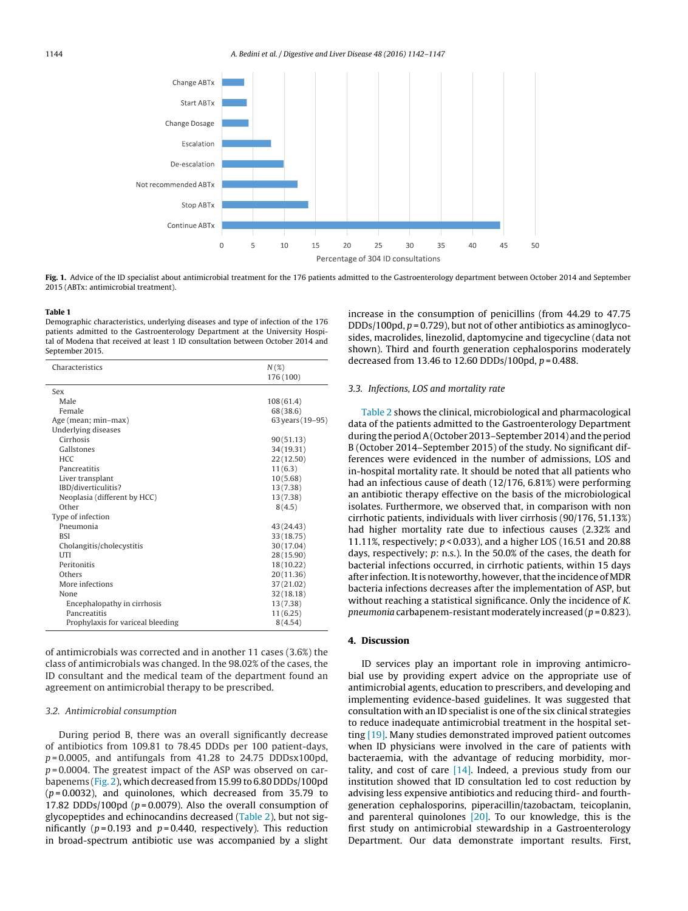<span id="page-2-0"></span>

**Fig. 1.** Advice of the ID specialist about antimicrobial treatment for the 176 patients admitted to the Gastroenterology department between October 2014 and September 2015 (ABTx: antimicrobial treatment).

#### **Table 1**

Demographic characteristics, underlying diseases and type of infection of the 176 patients admitted to the Gastroenterology Department at the University Hospital of Modena that received at least 1 ID consultation between October 2014 and September 2015.

| Characteristics                   | $N(\mathcal{X})$ |
|-----------------------------------|------------------|
|                                   | 176 (100)        |
| Sex                               |                  |
| Male                              | 108(61.4)        |
| Female                            | 68(38.6)         |
| Age (mean; min-max)               | 63 years (19-95) |
| Underlying diseases               |                  |
| Cirrhosis                         | 90(51.13)        |
| Gallstones                        | 34(19.31)        |
| <b>HCC</b>                        | 22(12.50)        |
| Pancreatitis                      | 11(6.3)          |
| Liver transplant                  | 10(5.68)         |
| IBD/diverticulitis?               | 13(7.38)         |
| Neoplasia (different by HCC)      | 13(7.38)         |
| Other                             | 8(4.5)           |
| Type of infection                 |                  |
| Pneumonia                         | 43 (24.43)       |
| <b>BSI</b>                        | 33 (18.75)       |
| Cholangitis/cholecystitis         | 30(17.04)        |
| UTI                               | 28 (15.90)       |
| Peritonitis                       | 18(10.22)        |
| Others                            | 20(11.36)        |
| More infections                   | 37(21.02)        |
| None                              | 32(18.18)        |
| Encephalopathy in cirrhosis       | 13(7.38)         |
| Pancreatitis                      | 11(6.25)         |
| Prophylaxis for variceal bleeding | 8(4.54)          |

of antimicrobials was corrected and in another 11 cases (3.6%) the class of antimicrobials was changed. In the 98.02% of the cases, the ID consultant and the medical team of the department found an agreement on antimicrobial therapy to be prescribed.

## 3.2. Antimicrobial consumption

During period B, there was an overall significantly decrease of antibiotics from 109.81 to 78.45 DDDs per 100 patient-days,  $p = 0.0005$ , and antifungals from 41.28 to 24.75 DDDsx100pd,  $p = 0.0004$ . The greatest impact of the ASP was observed on carbapenems [\(Fig.](#page-3-0) 2), which decreased from 15.99 to 6.80 DDDs/100pd  $(p=0.0032)$ , and quinolones, which decreased from 35.79 to 17.82 DDDs/100pd ( $p = 0.0079$ ). Also the overall consumption of glycopeptides and echinocandins decreased [\(Table](#page-4-0) 2), but not significantly ( $p = 0.193$  and  $p = 0.440$ , respectively). This reduction in broad-spectrum antibiotic use was accompanied by a slight

increase in the consumption of penicillins (from 44.29 to 47.75  $DDDs/100pd$ ,  $p = 0.729$ ), but not of other antibiotics as aminoglycosides, macrolides, linezolid, daptomycine and tigecycline (data not shown). Third and fourth generation cephalosporins moderately decreased from 13.46 to 12.60 DDDs/100pd,  $p = 0.488$ .

#### 3.3. Infections, LOS and mortality rate

[Table](#page-4-0) 2 shows the clinical, microbiological and pharmacological data of the patients admitted to the Gastroenterology Department during the period A (October 2013–September 2014) and the period B (October 2014–September 2015) of the study. No significant differences were evidenced in the number of admissions, LOS and in-hospital mortality rate. It should be noted that all patients who had an infectious cause of death (12/176, 6.81%) were performing an antibiotic therapy effective on the basis of the microbiological isolates. Furthermore, we observed that, in comparison with non cirrhotic patients, individuals with liver cirrhosis (90/176, 51.13%) had higher mortality rate due to infectious causes (2.32% and 11.11%, respectively; p < 0.033), and a higher LOS (16.51 and 20.88 days, respectively; p: n.s.). In the 50.0% of the cases, the death for bacterial infections occurred, in cirrhotic patients, within 15 days after infection. It is noteworthy, however, that the incidence of MDR bacteria infections decreases after the implementation of ASP, but without reaching a statistical significance. Only the incidence of K. pneumonia carbapenem-resistant moderately increased ( $p = 0.823$ ).

# **4. Discussion**

ID services play an important role in improving antimicrobial use by providing expert advice on the appropriate use of antimicrobial agents, education to prescribers, and developing and implementing evidence-based guidelines. It was suggested that consultation with an ID specialist is one of the six clinical strategies to reduce inadequate antimicrobial treatment in the hospital setting [\[19\].](#page-5-0) Many studies demonstrated improved patient outcomes when ID physicians were involved in the care of patients with bacteraemia, with the advantage of reducing morbidity, mortality, and cost of care  $[14]$ . Indeed, a previous study from our institution showed that ID consultation led to cost reduction by advising less expensive antibiotics and reducing third- and fourthgeneration cephalosporins, piperacillin/tazobactam, teicoplanin, and parenteral quinolones  $[20]$ . To our knowledge, this is the first study on antimicrobial stewardship in a Gastroenterology Department. Our data demonstrate important results. First,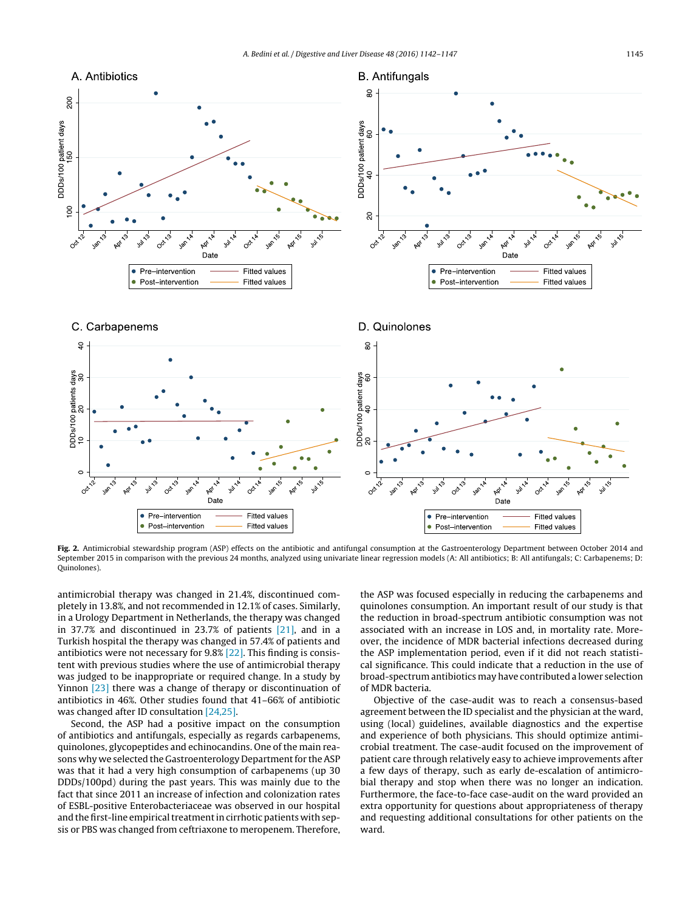<span id="page-3-0"></span>

**Fig. 2.** Antimicrobial stewardship program (ASP) effects on the antibiotic and antifungal consumption at the Gastroenterology Department between October 2014 and September 2015 in comparison with the previous 24 months, analyzed using univariate linear regression models (A: All antibiotics; B: All antifungals; C: Carbapenems; D: Quinolones).

antimicrobial therapy was changed in 21.4%, discontinued completely in 13.8%, and not recommended in 12.1% of cases. Similarly, in a Urology Department in Netherlands, the therapy was changed in 37.7% and discontinued in 23.7% of patients [\[21\],](#page-5-0) and in a Turkish hospital the therapy was changed in 57.4% of patients and antibiotics were not necessary for 9.8% [\[22\].](#page-5-0) This finding is consistent with previous studies where the use of antimicrobial therapy was judged to be inappropriate or required change. In a study by Yinnon [\[23\]](#page-5-0) there was a change of therapy or discontinuation of antibiotics in 46%. Other studies found that 41–66% of antibiotic was changed after ID consultation [\[24,25\].](#page-5-0)

Second, the ASP had a positive impact on the consumption of antibiotics and antifungals, especially as regards carbapenems, quinolones, glycopeptides and echinocandins. One of the main reasons why we selected the Gastroenterology Department for the ASP was that it had a very high consumption of carbapenems (up 30 DDDs/100pd) during the past years. This was mainly due to the fact that since 2011 an increase of infection and colonization rates of ESBL-positive Enterobacteriaceae was observed in our hospital and the first-line empirical treatment in cirrhotic patients with sepsis or PBS was changed from ceftriaxone to meropenem. Therefore,

the ASP was focused especially in reducing the carbapenems and quinolones consumption. An important result of our study is that the reduction in broad-spectrum antibiotic consumption was not associated with an increase in LOS and, in mortality rate. Moreover, the incidence of MDR bacterial infections decreased during the ASP implementation period, even if it did not reach statistical significance. This could indicate that a reduction in the use of broad-spectrum antibiotics may have contributed a lower selection of MDR bacteria.

Objective of the case-audit was to reach a consensus-based agreement between the ID specialist and the physician at the ward, using (local) guidelines, available diagnostics and the expertise and experience of both physicians. This should optimize antimicrobial treatment. The case-audit focused on the improvement of patient care through relatively easy to achieve improvements after a few days of therapy, such as early de-escalation of antimicrobial therapy and stop when there was no longer an indication. Furthermore, the face-to-face case-audit on the ward provided an extra opportunity for questions about appropriateness of therapy and requesting additional consultations for other patients on the ward.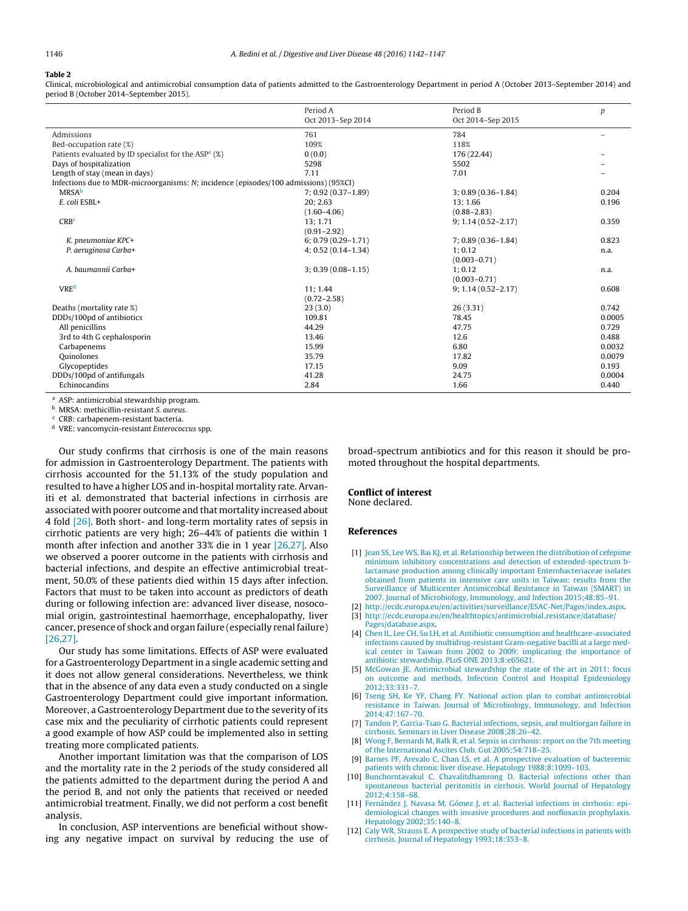#### <span id="page-4-0"></span>**Table 2**

Clinical, microbiological and antimicrobial consumption data of patients admitted to the Gastroenterology Department in period A (October 2013–September 2014) and period B (October 2014–September 2015).

|                                                                                      | Period A               | Period B               | p      |  |
|--------------------------------------------------------------------------------------|------------------------|------------------------|--------|--|
|                                                                                      | Oct 2013-Sep 2014      | Oct 2014-Sep 2015      |        |  |
| Admissions                                                                           | 761                    | 784                    |        |  |
| Bed-occupation rate (%)                                                              | 109%                   | 118%                   |        |  |
| Patients evaluated by ID specialist for the ASP <sup>a</sup> $(\%)$                  | 0(0.0)                 | 176 (22.44)            |        |  |
| Days of hospitalization                                                              | 5298                   | 5502                   |        |  |
| Length of stay (mean in days)                                                        | 7.11                   | 7.01                   |        |  |
| Infections due to MDR-microorganisms: N; incidence (episodes/100 admissions) (95%CI) |                        |                        |        |  |
| <b>MRSA</b>                                                                          | $7; 0.92(0.37-1.89)$   | $3; 0.89(0.36 - 1.84)$ | 0.204  |  |
| E. coli ESBL+                                                                        | 20:2.63                | 13:1.66                | 0.196  |  |
|                                                                                      | $(1.60 - 4.06)$        | $(0.88 - 2.83)$        |        |  |
| CRB <sup>c</sup>                                                                     | 13: 1.71               | $9; 1.14(0.52 - 2.17)$ | 0.359  |  |
|                                                                                      | $(0.91 - 2.92)$        |                        |        |  |
| K. pneumoniae KPC+                                                                   | $6; 0.79(0.29-1.71)$   | 7; 0.89 (0.36-1.84)    | 0.823  |  |
| P. aeruginosa Carba+                                                                 | $4: 0.52(0.14-1.34)$   | 1; 0.12                | n.a.   |  |
|                                                                                      |                        | $(0.003 - 0.71)$       |        |  |
| A. baumannii Carba+                                                                  | $3; 0.39(0.08 - 1.15)$ | 1; 0.12                | n.a.   |  |
|                                                                                      |                        | $(0.003 - 0.71)$       |        |  |
| <b>VRE</b> <sup>d</sup>                                                              | 11:1.44                | $9; 1.14(0.52 - 2.17)$ | 0.608  |  |
|                                                                                      | $(0.72 - 2.58)$        |                        |        |  |
| Deaths (mortality rate %)                                                            | 23(3.0)                | 26(3.31)               | 0.742  |  |
| DDDs/100pd of antibiotics                                                            | 109.81                 | 78.45                  | 0.0005 |  |
| All penicillins                                                                      | 44.29                  | 47.75                  | 0.729  |  |
| 3rd to 4th G cephalosporin                                                           | 13.46                  | 12.6                   | 0.488  |  |
| Carbapenems                                                                          | 15.99                  | 6.80                   | 0.0032 |  |
| Quinolones                                                                           | 35.79                  | 17.82                  | 0.0079 |  |
| Glycopeptides                                                                        | 17.15                  | 9.09                   | 0.193  |  |
| DDDs/100pd of antifungals                                                            | 41.28                  | 24.75                  | 0.0004 |  |
| Echinocandins                                                                        | 2.84                   | 1.66                   | 0.440  |  |

<sup>a</sup> ASP: antimicrobial stewardship program.

<sup>b</sup> MRSA: methicillin-resistant S. aureus.

<sup>c</sup> CRB: carbapenem-resistant bacteria.

<sup>d</sup> VRE: vancomycin-resistant Enterococcus spp.

Our study confirms that cirrhosis is one of the main reasons for admission in Gastroenterology Department. The patients with cirrhosis accounted for the 51.13% of the study population and resulted to have a higher LOS and in-hospital mortality rate. Arvaniti et al. demonstrated that bacterial infections in cirrhosis are associated with poorer outcome and that mortality increased about 4 fold [\[26\].](#page-5-0) Both short- and long-term mortality rates of sepsis in cirrhotic patients are very high; 26–44% of patients die within 1 month after infection and another 33% die in 1 year [\[26,27\].](#page-5-0) Also we observed a poorer outcome in the patients with cirrhosis and bacterial infections, and despite an effective antimicrobial treatment, 50.0% of these patients died within 15 days after infection. Factors that must to be taken into account as predictors of death during or following infection are: advanced liver disease, nosocomial origin, gastrointestinal haemorrhage, encephalopathy, liver cancer, presence of shock and organ failure (especially renalfailure) [\[26,27\].](#page-5-0)

Our study has some limitations. Effects of ASP were evaluated for a Gastroenterology Department in a single academic setting and it does not allow general considerations. Nevertheless, we think that in the absence of any data even a study conducted on a single Gastroenterology Department could give important information. Moreover, a Gastroenterology Department due to the severity of its case mix and the peculiarity of cirrhotic patients could represent a good example of how ASP could be implemented also in setting treating more complicated patients.

Another important limitation was that the comparison of LOS and the mortality rate in the 2 periods of the study considered all the patients admitted to the department during the period A and the period B, and not only the patients that received or needed antimicrobial treatment. Finally, we did not perform a cost benefit analysis.

In conclusion, ASP interventions are beneficial without showing any negative impact on survival by reducing the use of broad-spectrum antibiotics and for this reason it should be promoted throughout the hospital departments.

# **Conflict of interest**

None declared.

#### **References**

- [1] [Jean](http://refhub.elsevier.com/S1590-8658(16)30482-0/sbref0140) [SS,](http://refhub.elsevier.com/S1590-8658(16)30482-0/sbref0140) [Lee](http://refhub.elsevier.com/S1590-8658(16)30482-0/sbref0140) [WS,](http://refhub.elsevier.com/S1590-8658(16)30482-0/sbref0140) [Bai](http://refhub.elsevier.com/S1590-8658(16)30482-0/sbref0140) [KJ,](http://refhub.elsevier.com/S1590-8658(16)30482-0/sbref0140) [et](http://refhub.elsevier.com/S1590-8658(16)30482-0/sbref0140) [al.](http://refhub.elsevier.com/S1590-8658(16)30482-0/sbref0140) [Relationship](http://refhub.elsevier.com/S1590-8658(16)30482-0/sbref0140) [between](http://refhub.elsevier.com/S1590-8658(16)30482-0/sbref0140) [the](http://refhub.elsevier.com/S1590-8658(16)30482-0/sbref0140) [distribution](http://refhub.elsevier.com/S1590-8658(16)30482-0/sbref0140) [of](http://refhub.elsevier.com/S1590-8658(16)30482-0/sbref0140) [cefepime](http://refhub.elsevier.com/S1590-8658(16)30482-0/sbref0140) [minimum](http://refhub.elsevier.com/S1590-8658(16)30482-0/sbref0140) [inhibitory](http://refhub.elsevier.com/S1590-8658(16)30482-0/sbref0140) [concentrations](http://refhub.elsevier.com/S1590-8658(16)30482-0/sbref0140) [and](http://refhub.elsevier.com/S1590-8658(16)30482-0/sbref0140) [detection](http://refhub.elsevier.com/S1590-8658(16)30482-0/sbref0140) [of](http://refhub.elsevier.com/S1590-8658(16)30482-0/sbref0140) [extended-spectrum](http://refhub.elsevier.com/S1590-8658(16)30482-0/sbref0140) [b](http://refhub.elsevier.com/S1590-8658(16)30482-0/sbref0140)[lactamase](http://refhub.elsevier.com/S1590-8658(16)30482-0/sbref0140) [production](http://refhub.elsevier.com/S1590-8658(16)30482-0/sbref0140) [among](http://refhub.elsevier.com/S1590-8658(16)30482-0/sbref0140) [clinically](http://refhub.elsevier.com/S1590-8658(16)30482-0/sbref0140) [important](http://refhub.elsevier.com/S1590-8658(16)30482-0/sbref0140) [Enterobacteriaceae](http://refhub.elsevier.com/S1590-8658(16)30482-0/sbref0140) [isolates](http://refhub.elsevier.com/S1590-8658(16)30482-0/sbref0140) [obtained](http://refhub.elsevier.com/S1590-8658(16)30482-0/sbref0140) [from](http://refhub.elsevier.com/S1590-8658(16)30482-0/sbref0140) [patients](http://refhub.elsevier.com/S1590-8658(16)30482-0/sbref0140) [in](http://refhub.elsevier.com/S1590-8658(16)30482-0/sbref0140) [intensive](http://refhub.elsevier.com/S1590-8658(16)30482-0/sbref0140) [care](http://refhub.elsevier.com/S1590-8658(16)30482-0/sbref0140) [units](http://refhub.elsevier.com/S1590-8658(16)30482-0/sbref0140) [in](http://refhub.elsevier.com/S1590-8658(16)30482-0/sbref0140) [Taiwan:](http://refhub.elsevier.com/S1590-8658(16)30482-0/sbref0140) [results](http://refhub.elsevier.com/S1590-8658(16)30482-0/sbref0140) [from](http://refhub.elsevier.com/S1590-8658(16)30482-0/sbref0140) [the](http://refhub.elsevier.com/S1590-8658(16)30482-0/sbref0140) [Surveillance](http://refhub.elsevier.com/S1590-8658(16)30482-0/sbref0140) [of](http://refhub.elsevier.com/S1590-8658(16)30482-0/sbref0140) [Multicenter](http://refhub.elsevier.com/S1590-8658(16)30482-0/sbref0140) [Antimicrobial](http://refhub.elsevier.com/S1590-8658(16)30482-0/sbref0140) [Resistance](http://refhub.elsevier.com/S1590-8658(16)30482-0/sbref0140) [in](http://refhub.elsevier.com/S1590-8658(16)30482-0/sbref0140) [Taiwan](http://refhub.elsevier.com/S1590-8658(16)30482-0/sbref0140) [\(SMART\)](http://refhub.elsevier.com/S1590-8658(16)30482-0/sbref0140) [in](http://refhub.elsevier.com/S1590-8658(16)30482-0/sbref0140) [2007.](http://refhub.elsevier.com/S1590-8658(16)30482-0/sbref0140) [Journal](http://refhub.elsevier.com/S1590-8658(16)30482-0/sbref0140) [of](http://refhub.elsevier.com/S1590-8658(16)30482-0/sbref0140) [Microbiology,](http://refhub.elsevier.com/S1590-8658(16)30482-0/sbref0140) [Immunology,](http://refhub.elsevier.com/S1590-8658(16)30482-0/sbref0140) [and](http://refhub.elsevier.com/S1590-8658(16)30482-0/sbref0140) [Infection](http://refhub.elsevier.com/S1590-8658(16)30482-0/sbref0140) [2015;48:85–91.](http://refhub.elsevier.com/S1590-8658(16)30482-0/sbref0140)
- [2] <http://ecdc.europa.eu/en/activities/surveillance/ESAC-Net/Pages/index.aspx>.
- [http://ecdc.europa.eu/en/healthtopics/antimicrobial](http://ecdc.europa.eu/en/healthtopics/antimicrobial_resistance/database/Pages/database.aspx)\_[resistance/database/](http://ecdc.europa.eu/en/healthtopics/antimicrobial_resistance/database/Pages/database.aspx) [Pages/database.aspx.](http://ecdc.europa.eu/en/healthtopics/antimicrobial_resistance/database/Pages/database.aspx)
- [4] [Chen](http://refhub.elsevier.com/S1590-8658(16)30482-0/sbref0155) [IL,](http://refhub.elsevier.com/S1590-8658(16)30482-0/sbref0155) [Lee](http://refhub.elsevier.com/S1590-8658(16)30482-0/sbref0155) [CH,](http://refhub.elsevier.com/S1590-8658(16)30482-0/sbref0155) [Su](http://refhub.elsevier.com/S1590-8658(16)30482-0/sbref0155) [LH,](http://refhub.elsevier.com/S1590-8658(16)30482-0/sbref0155) [et](http://refhub.elsevier.com/S1590-8658(16)30482-0/sbref0155) [al.](http://refhub.elsevier.com/S1590-8658(16)30482-0/sbref0155) [Antibiotic](http://refhub.elsevier.com/S1590-8658(16)30482-0/sbref0155) [consumption](http://refhub.elsevier.com/S1590-8658(16)30482-0/sbref0155) [and](http://refhub.elsevier.com/S1590-8658(16)30482-0/sbref0155) [healthcare-associated](http://refhub.elsevier.com/S1590-8658(16)30482-0/sbref0155) [infections](http://refhub.elsevier.com/S1590-8658(16)30482-0/sbref0155) [caused](http://refhub.elsevier.com/S1590-8658(16)30482-0/sbref0155) [by](http://refhub.elsevier.com/S1590-8658(16)30482-0/sbref0155) [multidrug-resistant](http://refhub.elsevier.com/S1590-8658(16)30482-0/sbref0155) [Gram-negative](http://refhub.elsevier.com/S1590-8658(16)30482-0/sbref0155) [bacilli](http://refhub.elsevier.com/S1590-8658(16)30482-0/sbref0155) [at](http://refhub.elsevier.com/S1590-8658(16)30482-0/sbref0155) [a](http://refhub.elsevier.com/S1590-8658(16)30482-0/sbref0155) [large](http://refhub.elsevier.com/S1590-8658(16)30482-0/sbref0155) [med](http://refhub.elsevier.com/S1590-8658(16)30482-0/sbref0155)[ical](http://refhub.elsevier.com/S1590-8658(16)30482-0/sbref0155) [center](http://refhub.elsevier.com/S1590-8658(16)30482-0/sbref0155) [in](http://refhub.elsevier.com/S1590-8658(16)30482-0/sbref0155) [Taiwan](http://refhub.elsevier.com/S1590-8658(16)30482-0/sbref0155) [from](http://refhub.elsevier.com/S1590-8658(16)30482-0/sbref0155) [2002](http://refhub.elsevier.com/S1590-8658(16)30482-0/sbref0155) [to](http://refhub.elsevier.com/S1590-8658(16)30482-0/sbref0155) [2009:](http://refhub.elsevier.com/S1590-8658(16)30482-0/sbref0155) [implicating](http://refhub.elsevier.com/S1590-8658(16)30482-0/sbref0155) [the](http://refhub.elsevier.com/S1590-8658(16)30482-0/sbref0155) [importance](http://refhub.elsevier.com/S1590-8658(16)30482-0/sbref0155) [of](http://refhub.elsevier.com/S1590-8658(16)30482-0/sbref0155) [antibiotic](http://refhub.elsevier.com/S1590-8658(16)30482-0/sbref0155) [stewardship.](http://refhub.elsevier.com/S1590-8658(16)30482-0/sbref0155) [PLoS](http://refhub.elsevier.com/S1590-8658(16)30482-0/sbref0155) [ONE](http://refhub.elsevier.com/S1590-8658(16)30482-0/sbref0155) [2013;8:e65621.](http://refhub.elsevier.com/S1590-8658(16)30482-0/sbref0155)
- [5] [McGowan](http://refhub.elsevier.com/S1590-8658(16)30482-0/sbref0160) [JE.](http://refhub.elsevier.com/S1590-8658(16)30482-0/sbref0160) [Antimicrobial](http://refhub.elsevier.com/S1590-8658(16)30482-0/sbref0160) [stewardship](http://refhub.elsevier.com/S1590-8658(16)30482-0/sbref0160) [the](http://refhub.elsevier.com/S1590-8658(16)30482-0/sbref0160) [state](http://refhub.elsevier.com/S1590-8658(16)30482-0/sbref0160) [of](http://refhub.elsevier.com/S1590-8658(16)30482-0/sbref0160) [the](http://refhub.elsevier.com/S1590-8658(16)30482-0/sbref0160) [art](http://refhub.elsevier.com/S1590-8658(16)30482-0/sbref0160) [in](http://refhub.elsevier.com/S1590-8658(16)30482-0/sbref0160) [2011:](http://refhub.elsevier.com/S1590-8658(16)30482-0/sbref0160) [focus](http://refhub.elsevier.com/S1590-8658(16)30482-0/sbref0160) [on](http://refhub.elsevier.com/S1590-8658(16)30482-0/sbref0160) [outcome](http://refhub.elsevier.com/S1590-8658(16)30482-0/sbref0160) [and](http://refhub.elsevier.com/S1590-8658(16)30482-0/sbref0160) [methods.](http://refhub.elsevier.com/S1590-8658(16)30482-0/sbref0160) [Infection](http://refhub.elsevier.com/S1590-8658(16)30482-0/sbref0160) [Control](http://refhub.elsevier.com/S1590-8658(16)30482-0/sbref0160) [and](http://refhub.elsevier.com/S1590-8658(16)30482-0/sbref0160) [Hospital](http://refhub.elsevier.com/S1590-8658(16)30482-0/sbref0160) [Epidemiology](http://refhub.elsevier.com/S1590-8658(16)30482-0/sbref0160) [2012;33:331](http://refhub.elsevier.com/S1590-8658(16)30482-0/sbref0160)–[7.](http://refhub.elsevier.com/S1590-8658(16)30482-0/sbref0160)
- [6] [Tseng](http://refhub.elsevier.com/S1590-8658(16)30482-0/sbref0165) [SH,](http://refhub.elsevier.com/S1590-8658(16)30482-0/sbref0165) [Ke](http://refhub.elsevier.com/S1590-8658(16)30482-0/sbref0165) [YF,](http://refhub.elsevier.com/S1590-8658(16)30482-0/sbref0165) [Chang](http://refhub.elsevier.com/S1590-8658(16)30482-0/sbref0165) [FY.](http://refhub.elsevier.com/S1590-8658(16)30482-0/sbref0165) [National](http://refhub.elsevier.com/S1590-8658(16)30482-0/sbref0165) [action](http://refhub.elsevier.com/S1590-8658(16)30482-0/sbref0165) [plan](http://refhub.elsevier.com/S1590-8658(16)30482-0/sbref0165) [to](http://refhub.elsevier.com/S1590-8658(16)30482-0/sbref0165) [combat](http://refhub.elsevier.com/S1590-8658(16)30482-0/sbref0165) [antimicrobial](http://refhub.elsevier.com/S1590-8658(16)30482-0/sbref0165) [resistance](http://refhub.elsevier.com/S1590-8658(16)30482-0/sbref0165) [in](http://refhub.elsevier.com/S1590-8658(16)30482-0/sbref0165) [Taiwan.](http://refhub.elsevier.com/S1590-8658(16)30482-0/sbref0165) [Journal](http://refhub.elsevier.com/S1590-8658(16)30482-0/sbref0165) [of](http://refhub.elsevier.com/S1590-8658(16)30482-0/sbref0165) [Microbiology,](http://refhub.elsevier.com/S1590-8658(16)30482-0/sbref0165) [Immunology,](http://refhub.elsevier.com/S1590-8658(16)30482-0/sbref0165) [and](http://refhub.elsevier.com/S1590-8658(16)30482-0/sbref0165) [Infection](http://refhub.elsevier.com/S1590-8658(16)30482-0/sbref0165) [2014;47:167](http://refhub.elsevier.com/S1590-8658(16)30482-0/sbref0165)–[70.](http://refhub.elsevier.com/S1590-8658(16)30482-0/sbref0165)
- [7] [Tandon](http://refhub.elsevier.com/S1590-8658(16)30482-0/sbref0170) [P,](http://refhub.elsevier.com/S1590-8658(16)30482-0/sbref0170) [Garcia-Tsao](http://refhub.elsevier.com/S1590-8658(16)30482-0/sbref0170) [G.](http://refhub.elsevier.com/S1590-8658(16)30482-0/sbref0170) [Bacterial](http://refhub.elsevier.com/S1590-8658(16)30482-0/sbref0170) [infections,](http://refhub.elsevier.com/S1590-8658(16)30482-0/sbref0170) [sepsis,](http://refhub.elsevier.com/S1590-8658(16)30482-0/sbref0170) [and](http://refhub.elsevier.com/S1590-8658(16)30482-0/sbref0170) [multiorgan](http://refhub.elsevier.com/S1590-8658(16)30482-0/sbref0170) [failure](http://refhub.elsevier.com/S1590-8658(16)30482-0/sbref0170) [in](http://refhub.elsevier.com/S1590-8658(16)30482-0/sbref0170) [cirrhosis.](http://refhub.elsevier.com/S1590-8658(16)30482-0/sbref0170) [Seminars](http://refhub.elsevier.com/S1590-8658(16)30482-0/sbref0170) [in](http://refhub.elsevier.com/S1590-8658(16)30482-0/sbref0170) [Liver](http://refhub.elsevier.com/S1590-8658(16)30482-0/sbref0170) [Disease](http://refhub.elsevier.com/S1590-8658(16)30482-0/sbref0170) [2008;28:26–42.](http://refhub.elsevier.com/S1590-8658(16)30482-0/sbref0170)
- [8] [Wong](http://refhub.elsevier.com/S1590-8658(16)30482-0/sbref0175) [F,](http://refhub.elsevier.com/S1590-8658(16)30482-0/sbref0175) [Bernardi](http://refhub.elsevier.com/S1590-8658(16)30482-0/sbref0175) [M,](http://refhub.elsevier.com/S1590-8658(16)30482-0/sbref0175) [Balk](http://refhub.elsevier.com/S1590-8658(16)30482-0/sbref0175) [R,](http://refhub.elsevier.com/S1590-8658(16)30482-0/sbref0175) [et](http://refhub.elsevier.com/S1590-8658(16)30482-0/sbref0175) [al.](http://refhub.elsevier.com/S1590-8658(16)30482-0/sbref0175) [Sepsis](http://refhub.elsevier.com/S1590-8658(16)30482-0/sbref0175) [in](http://refhub.elsevier.com/S1590-8658(16)30482-0/sbref0175) [cirrhosis:](http://refhub.elsevier.com/S1590-8658(16)30482-0/sbref0175) [report](http://refhub.elsevier.com/S1590-8658(16)30482-0/sbref0175) [on](http://refhub.elsevier.com/S1590-8658(16)30482-0/sbref0175) [the](http://refhub.elsevier.com/S1590-8658(16)30482-0/sbref0175) [7th](http://refhub.elsevier.com/S1590-8658(16)30482-0/sbref0175) [meeting](http://refhub.elsevier.com/S1590-8658(16)30482-0/sbref0175) [of](http://refhub.elsevier.com/S1590-8658(16)30482-0/sbref0175) [the](http://refhub.elsevier.com/S1590-8658(16)30482-0/sbref0175) [International](http://refhub.elsevier.com/S1590-8658(16)30482-0/sbref0175) [Ascites](http://refhub.elsevier.com/S1590-8658(16)30482-0/sbref0175) [Club.](http://refhub.elsevier.com/S1590-8658(16)30482-0/sbref0175) [Gut](http://refhub.elsevier.com/S1590-8658(16)30482-0/sbref0175) [2005;54:718–25.](http://refhub.elsevier.com/S1590-8658(16)30482-0/sbref0175)
- [9] [Barnes](http://refhub.elsevier.com/S1590-8658(16)30482-0/sbref0180) [PF,](http://refhub.elsevier.com/S1590-8658(16)30482-0/sbref0180) [Arevalo](http://refhub.elsevier.com/S1590-8658(16)30482-0/sbref0180) [C,](http://refhub.elsevier.com/S1590-8658(16)30482-0/sbref0180) [Chan](http://refhub.elsevier.com/S1590-8658(16)30482-0/sbref0180) [LS,](http://refhub.elsevier.com/S1590-8658(16)30482-0/sbref0180) [et](http://refhub.elsevier.com/S1590-8658(16)30482-0/sbref0180) [al.](http://refhub.elsevier.com/S1590-8658(16)30482-0/sbref0180) [A](http://refhub.elsevier.com/S1590-8658(16)30482-0/sbref0180) [prospective](http://refhub.elsevier.com/S1590-8658(16)30482-0/sbref0180) [evaluation](http://refhub.elsevier.com/S1590-8658(16)30482-0/sbref0180) [of](http://refhub.elsevier.com/S1590-8658(16)30482-0/sbref0180) [bacteremic](http://refhub.elsevier.com/S1590-8658(16)30482-0/sbref0180) [patients](http://refhub.elsevier.com/S1590-8658(16)30482-0/sbref0180) [with](http://refhub.elsevier.com/S1590-8658(16)30482-0/sbref0180) [chronic](http://refhub.elsevier.com/S1590-8658(16)30482-0/sbref0180) [liver](http://refhub.elsevier.com/S1590-8658(16)30482-0/sbref0180) [disease.](http://refhub.elsevier.com/S1590-8658(16)30482-0/sbref0180) [Hepatology](http://refhub.elsevier.com/S1590-8658(16)30482-0/sbref0180) [1988;8:1099](http://refhub.elsevier.com/S1590-8658(16)30482-0/sbref0180)–[103.](http://refhub.elsevier.com/S1590-8658(16)30482-0/sbref0180)
- [10] [Bunchorntavakul](http://refhub.elsevier.com/S1590-8658(16)30482-0/sbref0185) [C,](http://refhub.elsevier.com/S1590-8658(16)30482-0/sbref0185) [Chavalitdhamrong](http://refhub.elsevier.com/S1590-8658(16)30482-0/sbref0185) [D.](http://refhub.elsevier.com/S1590-8658(16)30482-0/sbref0185) [Bacterial](http://refhub.elsevier.com/S1590-8658(16)30482-0/sbref0185) [infections](http://refhub.elsevier.com/S1590-8658(16)30482-0/sbref0185) [other](http://refhub.elsevier.com/S1590-8658(16)30482-0/sbref0185) [than](http://refhub.elsevier.com/S1590-8658(16)30482-0/sbref0185) [spontaneous](http://refhub.elsevier.com/S1590-8658(16)30482-0/sbref0185) [bacterial](http://refhub.elsevier.com/S1590-8658(16)30482-0/sbref0185) [peritonitis](http://refhub.elsevier.com/S1590-8658(16)30482-0/sbref0185) [in](http://refhub.elsevier.com/S1590-8658(16)30482-0/sbref0185) [cirrhosis.](http://refhub.elsevier.com/S1590-8658(16)30482-0/sbref0185) [World](http://refhub.elsevier.com/S1590-8658(16)30482-0/sbref0185) [Journal](http://refhub.elsevier.com/S1590-8658(16)30482-0/sbref0185) [of](http://refhub.elsevier.com/S1590-8658(16)30482-0/sbref0185) [Hepatology](http://refhub.elsevier.com/S1590-8658(16)30482-0/sbref0185) [2012;4:158](http://refhub.elsevier.com/S1590-8658(16)30482-0/sbref0185)–[68.](http://refhub.elsevier.com/S1590-8658(16)30482-0/sbref0185)
- [11] [Fernández](http://refhub.elsevier.com/S1590-8658(16)30482-0/sbref0190) [J,](http://refhub.elsevier.com/S1590-8658(16)30482-0/sbref0190) [Navasa](http://refhub.elsevier.com/S1590-8658(16)30482-0/sbref0190) [M,](http://refhub.elsevier.com/S1590-8658(16)30482-0/sbref0190) [Gómez](http://refhub.elsevier.com/S1590-8658(16)30482-0/sbref0190) J, [et](http://refhub.elsevier.com/S1590-8658(16)30482-0/sbref0190) [al.](http://refhub.elsevier.com/S1590-8658(16)30482-0/sbref0190) [Bacterial](http://refhub.elsevier.com/S1590-8658(16)30482-0/sbref0190) [infections](http://refhub.elsevier.com/S1590-8658(16)30482-0/sbref0190) [in](http://refhub.elsevier.com/S1590-8658(16)30482-0/sbref0190) [cirrhosis:](http://refhub.elsevier.com/S1590-8658(16)30482-0/sbref0190) [epi](http://refhub.elsevier.com/S1590-8658(16)30482-0/sbref0190)[demiological](http://refhub.elsevier.com/S1590-8658(16)30482-0/sbref0190) [changes](http://refhub.elsevier.com/S1590-8658(16)30482-0/sbref0190) [with](http://refhub.elsevier.com/S1590-8658(16)30482-0/sbref0190) [invasive](http://refhub.elsevier.com/S1590-8658(16)30482-0/sbref0190) [procedures](http://refhub.elsevier.com/S1590-8658(16)30482-0/sbref0190) [and](http://refhub.elsevier.com/S1590-8658(16)30482-0/sbref0190) [norfloxacin](http://refhub.elsevier.com/S1590-8658(16)30482-0/sbref0190) [prophylaxis.](http://refhub.elsevier.com/S1590-8658(16)30482-0/sbref0190) [Hepatology](http://refhub.elsevier.com/S1590-8658(16)30482-0/sbref0190) [2002;35:140–8.](http://refhub.elsevier.com/S1590-8658(16)30482-0/sbref0190)
- [12] [Caly](http://refhub.elsevier.com/S1590-8658(16)30482-0/sbref0195) [WR,](http://refhub.elsevier.com/S1590-8658(16)30482-0/sbref0195) [Strauss](http://refhub.elsevier.com/S1590-8658(16)30482-0/sbref0195) [E.](http://refhub.elsevier.com/S1590-8658(16)30482-0/sbref0195) [A](http://refhub.elsevier.com/S1590-8658(16)30482-0/sbref0195) [prospective](http://refhub.elsevier.com/S1590-8658(16)30482-0/sbref0195) [study](http://refhub.elsevier.com/S1590-8658(16)30482-0/sbref0195) [of](http://refhub.elsevier.com/S1590-8658(16)30482-0/sbref0195) [bacterial](http://refhub.elsevier.com/S1590-8658(16)30482-0/sbref0195) [infections](http://refhub.elsevier.com/S1590-8658(16)30482-0/sbref0195) [in](http://refhub.elsevier.com/S1590-8658(16)30482-0/sbref0195) [patients](http://refhub.elsevier.com/S1590-8658(16)30482-0/sbref0195) [with](http://refhub.elsevier.com/S1590-8658(16)30482-0/sbref0195) [cirrhosis.](http://refhub.elsevier.com/S1590-8658(16)30482-0/sbref0195) [Journal](http://refhub.elsevier.com/S1590-8658(16)30482-0/sbref0195) [of](http://refhub.elsevier.com/S1590-8658(16)30482-0/sbref0195) [Hepatology](http://refhub.elsevier.com/S1590-8658(16)30482-0/sbref0195) [1993;18:353–8.](http://refhub.elsevier.com/S1590-8658(16)30482-0/sbref0195)